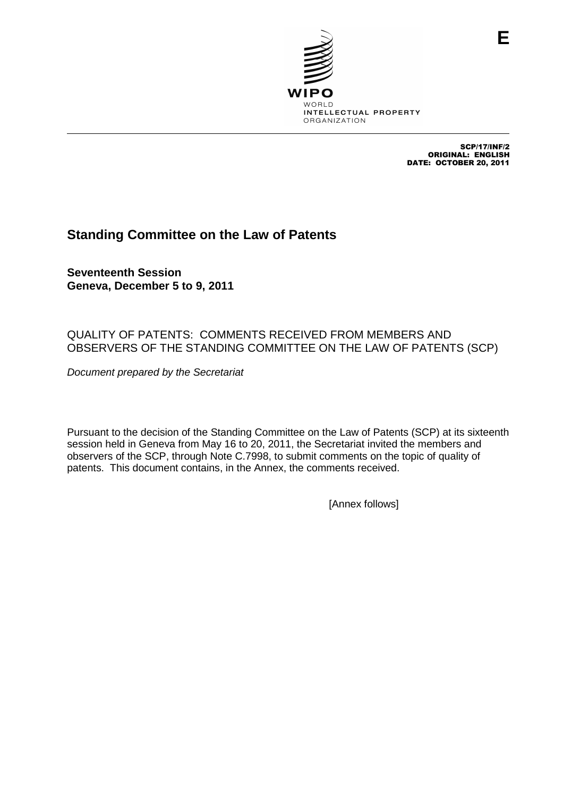

SCP/17/INF/2 ORIGINAL: ENGLISH DATE: OCTOBER 20, 2011

**E**

# **Standing Committee on the Law of Patents**

**Seventeenth Session Geneva, December 5 to 9, 2011**

# QUALITY OF PATENTS: COMMENTS RECEIVED FROM MEMBERS AND OBSERVERS OF THE STANDING COMMITTEE ON THE LAW OF PATENTS (SCP)

Document prepared by the Secretariat

Pursuant to the decision of the Standing Committee on the Law of Patents (SCP) at its sixteenth session held in Geneva from May 16 to 20, 2011, the Secretariat invited the members and observers of the SCP, through Note C.7998, to submit comments on the topic of quality of patents. This document contains, in the Annex, the comments received.

[Annex follows]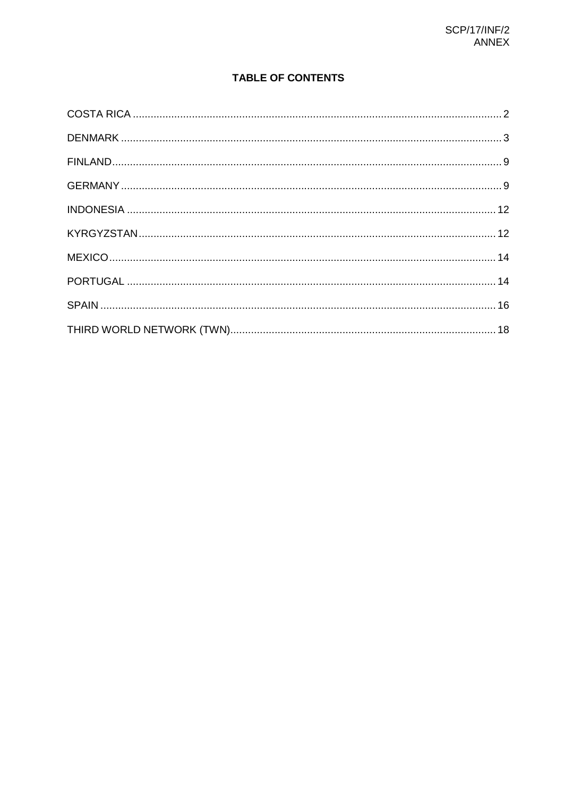# **TABLE OF CONTENTS**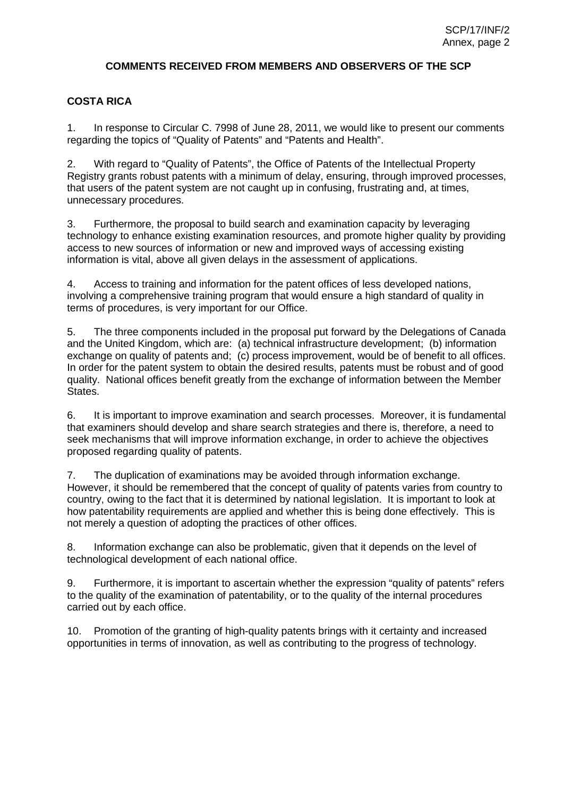## **COMMENTS RECEIVED FROM MEMBERS AND OBSERVERS OF THE SCP**

# **COSTA RICA**

1. In response to Circular C. 7998 of June 28, 2011, we would like to present our comments regarding the topics of "Quality of Patents" and "Patents and Health".

2. With regard to "Quality of Patents", the Office of Patents of the Intellectual Property Registry grants robust patents with a minimum of delay, ensuring, through improved processes, that users of the patent system are not caught up in confusing, frustrating and, at times, unnecessary procedures.

3. Furthermore, the proposal to build search and examination capacity by leveraging technology to enhance existing examination resources, and promote higher quality by providing access to new sources of information or new and improved ways of accessing existing information is vital, above all given delays in the assessment of applications.

4. Access to training and information for the patent offices of less developed nations, involving a comprehensive training program that would ensure a high standard of quality in terms of procedures, is very important for our Office.

5. The three components included in the proposal put forward by the Delegations of Canada and the United Kingdom, which are: (a) technical infrastructure development; (b) information exchange on quality of patents and; (c) process improvement, would be of benefit to all offices. In order for the patent system to obtain the desired results, patents must be robust and of good quality. National offices benefit greatly from the exchange of information between the Member States.

6. It is important to improve examination and search processes. Moreover, it is fundamental that examiners should develop and share search strategies and there is, therefore, a need to seek mechanisms that will improve information exchange, in order to achieve the objectives proposed regarding quality of patents.

7. The duplication of examinations may be avoided through information exchange. However, it should be remembered that the concept of quality of patents varies from country to country, owing to the fact that it is determined by national legislation. It is important to look at how patentability requirements are applied and whether this is being done effectively. This is not merely a question of adopting the practices of other offices.

8. Information exchange can also be problematic, given that it depends on the level of technological development of each national office.

9. Furthermore, it is important to ascertain whether the expression "quality of patents" refers to the quality of the examination of patentability, or to the quality of the internal procedures carried out by each office.

10. Promotion of the granting of high-quality patents brings with it certainty and increased opportunities in terms of innovation, as well as contributing to the progress of technology.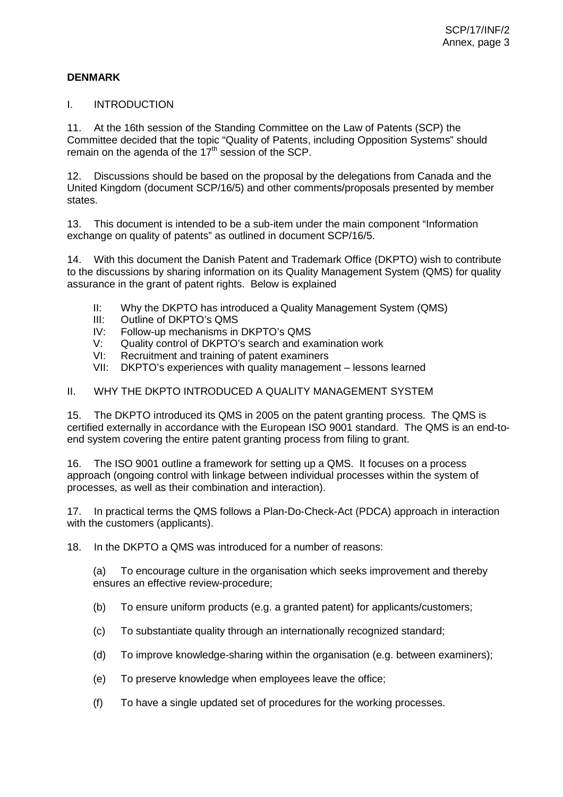# **DENMARK**

#### I. INTRODUCTION

11. At the 16th session of the Standing Committee on the Law of Patents (SCP) the Committee decided that the topic "Quality of Patents, including Opposition Systems" should remain on the agenda of the  $17<sup>th</sup>$  session of the SCP.

12. Discussions should be based on the proposal by the delegations from Canada and the United Kingdom (document SCP/16/5) and other comments/proposals presented by member states.

13. This document is intended to be a sub-item under the main component "Information exchange on quality of patents" as outlined in document SCP/16/5.

14. With this document the Danish Patent and Trademark Office (DKPTO) wish to contribute to the discussions by sharing information on its Quality Management System (QMS) for quality assurance in the grant of patent rights. Below is explained

- II: Why the DKPTO has introduced a Quality Management System (QMS)
- III: Outline of DKPTO's QMS
- IV: Follow-up mechanisms in DKPTO's QMS
- V: Quality control of DKPTO's search and examination work
- VI: Recruitment and training of patent examiners
- VII: DKPTO's experiences with quality management lessons learned

## II. WHY THE DKPTO INTRODUCED A QUALITY MANAGEMENT SYSTEM

15. The DKPTO introduced its QMS in 2005 on the patent granting process. The QMS is certified externally in accordance with the European ISO 9001 standard. The QMS is an end-toend system covering the entire patent granting process from filing to grant.

16. The ISO 9001 outline a framework for setting up a QMS. It focuses on a process approach (ongoing control with linkage between individual processes within the system of processes, as well as their combination and interaction).

17. In practical terms the QMS follows a Plan-Do-Check-Act (PDCA) approach in interaction with the customers (applicants).

18. In the DKPTO a QMS was introduced for a number of reasons:

(a) To encourage culture in the organisation which seeks improvement and thereby ensures an effective review-procedure;

- (b) To ensure uniform products (e.g. a granted patent) for applicants/customers;
- (c) To substantiate quality through an internationally recognized standard;
- (d) To improve knowledge-sharing within the organisation (e.g. between examiners);
- (e) To preserve knowledge when employees leave the office;
- (f) To have a single updated set of procedures for the working processes.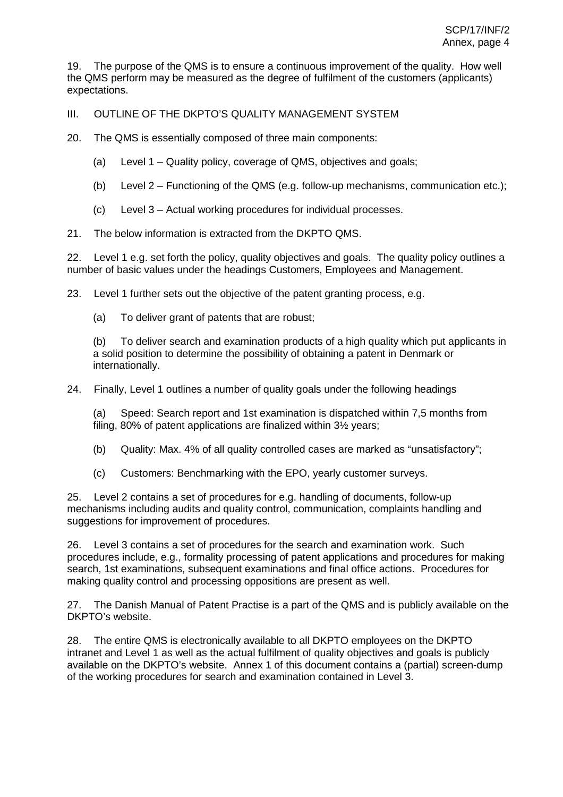19. The purpose of the QMS is to ensure a continuous improvement of the quality. How well the QMS perform may be measured as the degree of fulfilment of the customers (applicants) expectations.

III. OUTLINE OF THE DKPTO'S QUALITY MANAGEMENT SYSTEM

20. The QMS is essentially composed of three main components:

- (a) Level 1 Quality policy, coverage of QMS, objectives and goals;
- (b) Level 2 Functioning of the QMS (e.g. follow-up mechanisms, communication etc.);
- (c) Level 3 Actual working procedures for individual processes.
- 21. The below information is extracted from the DKPTO QMS.

22. Level 1 e.g. set forth the policy, quality objectives and goals. The quality policy outlines a number of basic values under the headings Customers, Employees and Management.

23. Level 1 further sets out the objective of the patent granting process, e.g.

(a) To deliver grant of patents that are robust;

(b) To deliver search and examination products of a high quality which put applicants in a solid position to determine the possibility of obtaining a patent in Denmark or internationally.

24. Finally, Level 1 outlines a number of quality goals under the following headings

(a) Speed: Search report and 1st examination is dispatched within 7,5 months from filing, 80% of patent applications are finalized within 3½ years;

- (b) Quality: Max. 4% of all quality controlled cases are marked as "unsatisfactory";
- (c) Customers: Benchmarking with the EPO, yearly customer surveys.

25. Level 2 contains a set of procedures for e.g. handling of documents, follow-up mechanisms including audits and quality control, communication, complaints handling and suggestions for improvement of procedures.

26. Level 3 contains a set of procedures for the search and examination work. Such procedures include, e.g., formality processing of patent applications and procedures for making search, 1st examinations, subsequent examinations and final office actions. Procedures for making quality control and processing oppositions are present as well.

27. The Danish Manual of Patent Practise is a part of the QMS and is publicly available on the DKPTO's website.

28. The entire QMS is electronically available to all DKPTO employees on the DKPTO intranet and Level 1 as well as the actual fulfilment of quality objectives and goals is publicly available on the DKPTO's website. Annex 1 of this document contains a (partial) screen-dump of the working procedures for search and examination contained in Level 3.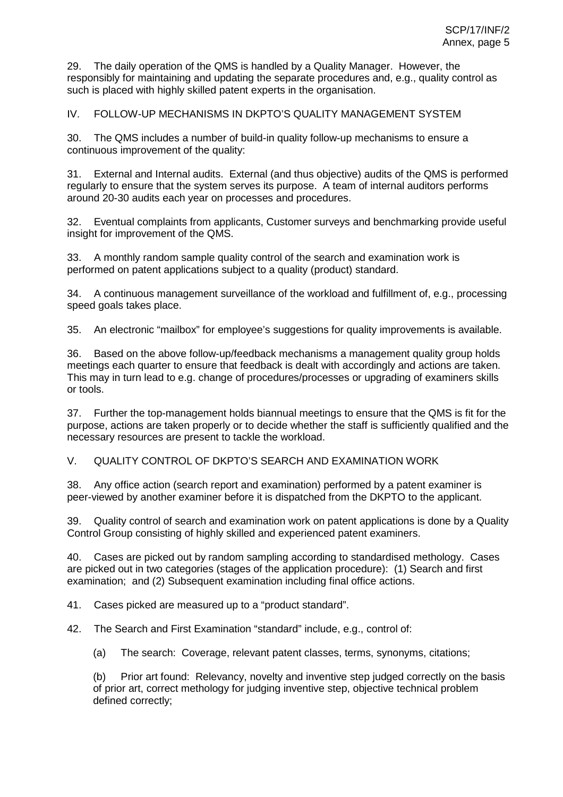29. The daily operation of the QMS is handled by a Quality Manager. However, the responsibly for maintaining and updating the separate procedures and, e.g., quality control as such is placed with highly skilled patent experts in the organisation.

IV. FOLLOW-UP MECHANISMS IN DKPTO'S QUALITY MANAGEMENT SYSTEM

30. The QMS includes a number of build-in quality follow-up mechanisms to ensure a continuous improvement of the quality:

31. External and Internal audits. External (and thus objective) audits of the QMS is performed regularly to ensure that the system serves its purpose. A team of internal auditors performs around 20-30 audits each year on processes and procedures.

32. Eventual complaints from applicants, Customer surveys and benchmarking provide useful insight for improvement of the QMS.

33. A monthly random sample quality control of the search and examination work is performed on patent applications subject to a quality (product) standard.

34. A continuous management surveillance of the workload and fulfillment of, e.g., processing speed goals takes place.

35. An electronic "mailbox" for employee's suggestions for quality improvements is available.

36. Based on the above follow-up/feedback mechanisms a management quality group holds meetings each quarter to ensure that feedback is dealt with accordingly and actions are taken. This may in turn lead to e.g. change of procedures/processes or upgrading of examiners skills or tools.

37. Further the top-management holds biannual meetings to ensure that the QMS is fit for the purpose, actions are taken properly or to decide whether the staff is sufficiently qualified and the necessary resources are present to tackle the workload.

V. QUALITY CONTROL OF DKPTO'S SEARCH AND EXAMINATION WORK

38. Any office action (search report and examination) performed by a patent examiner is peer-viewed by another examiner before it is dispatched from the DKPTO to the applicant.

39. Quality control of search and examination work on patent applications is done by a Quality Control Group consisting of highly skilled and experienced patent examiners.

40. Cases are picked out by random sampling according to standardised methology. Cases are picked out in two categories (stages of the application procedure): (1) Search and first examination; and (2) Subsequent examination including final office actions.

41. Cases picked are measured up to a "product standard".

42. The Search and First Examination "standard" include, e.g., control of:

(a) The search: Coverage, relevant patent classes, terms, synonyms, citations;

(b) Prior art found: Relevancy, novelty and inventive step judged correctly on the basis of prior art, correct methology for judging inventive step, objective technical problem defined correctly;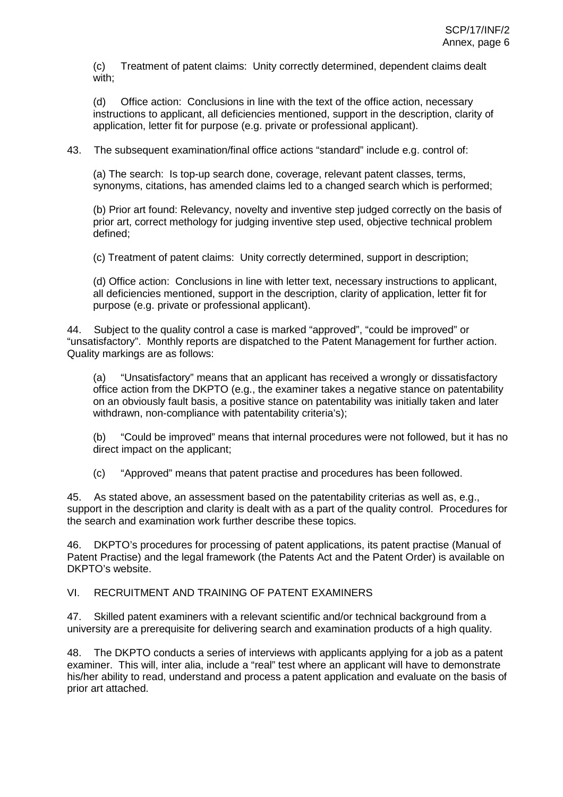(c) Treatment of patent claims: Unity correctly determined, dependent claims dealt with:

(d) Office action: Conclusions in line with the text of the office action, necessary instructions to applicant, all deficiencies mentioned, support in the description, clarity of application, letter fit for purpose (e.g. private or professional applicant).

43. The subsequent examination/final office actions "standard" include e.g. control of:

(a) The search: Is top-up search done, coverage, relevant patent classes, terms, synonyms, citations, has amended claims led to a changed search which is performed;

(b) Prior art found: Relevancy, novelty and inventive step judged correctly on the basis of prior art, correct methology for judging inventive step used, objective technical problem defined;

(c) Treatment of patent claims: Unity correctly determined, support in description;

(d) Office action: Conclusions in line with letter text, necessary instructions to applicant, all deficiencies mentioned, support in the description, clarity of application, letter fit for purpose (e.g. private or professional applicant).

44. Subject to the quality control a case is marked "approved", "could be improved" or "unsatisfactory". Monthly reports are dispatched to the Patent Management for further action. Quality markings are as follows:

(a) "Unsatisfactory" means that an applicant has received a wrongly or dissatisfactory office action from the DKPTO (e.g., the examiner takes a negative stance on patentability on an obviously fault basis, a positive stance on patentability was initially taken and later withdrawn, non-compliance with patentability criteria's);

(b) "Could be improved" means that internal procedures were not followed, but it has no direct impact on the applicant;

(c) "Approved" means that patent practise and procedures has been followed.

45. As stated above, an assessment based on the patentability criterias as well as, e.g., support in the description and clarity is dealt with as a part of the quality control. Procedures for the search and examination work further describe these topics.

46. DKPTO's procedures for processing of patent applications, its patent practise (Manual of Patent Practise) and the legal framework (the Patents Act and the Patent Order) is available on DKPTO's website.

#### VI. RECRUITMENT AND TRAINING OF PATENT EXAMINERS

47. Skilled patent examiners with a relevant scientific and/or technical background from a university are a prerequisite for delivering search and examination products of a high quality.

48. The DKPTO conducts a series of interviews with applicants applying for a job as a patent examiner. This will, inter alia, include a "real" test where an applicant will have to demonstrate his/her ability to read, understand and process a patent application and evaluate on the basis of prior art attached.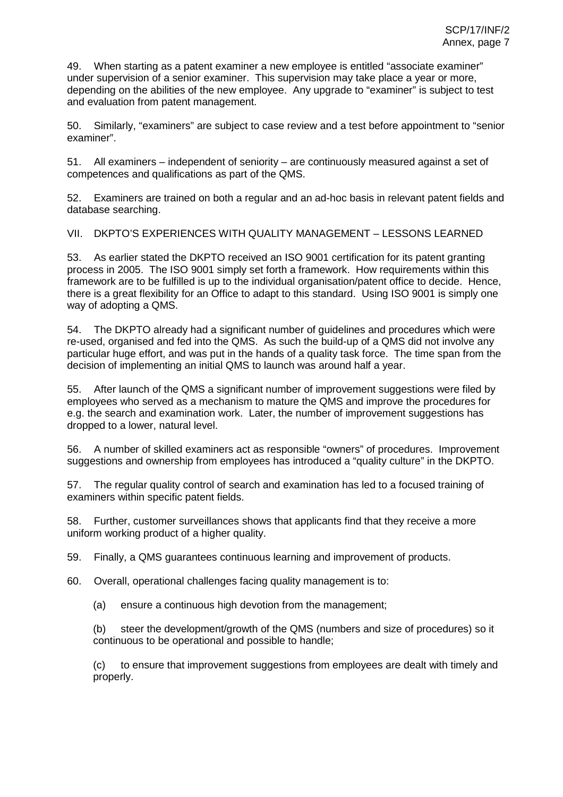49. When starting as a patent examiner a new employee is entitled "associate examiner" under supervision of a senior examiner. This supervision may take place a year or more, depending on the abilities of the new employee. Any upgrade to "examiner" is subject to test and evaluation from patent management.

50. Similarly, "examiners" are subject to case review and a test before appointment to "senior examiner".

51. All examiners – independent of seniority – are continuously measured against a set of competences and qualifications as part of the QMS.

52. Examiners are trained on both a regular and an ad-hoc basis in relevant patent fields and database searching.

VII. DKPTO'S EXPERIENCES WITH QUALITY MANAGEMENT – LESSONS LEARNED

53. As earlier stated the DKPTO received an ISO 9001 certification for its patent granting process in 2005. The ISO 9001 simply set forth a framework. How requirements within this framework are to be fulfilled is up to the individual organisation/patent office to decide. Hence, there is a great flexibility for an Office to adapt to this standard. Using ISO 9001 is simply one way of adopting a QMS.

54. The DKPTO already had a significant number of guidelines and procedures which were re-used, organised and fed into the QMS. As such the build-up of a QMS did not involve any particular huge effort, and was put in the hands of a quality task force. The time span from the decision of implementing an initial QMS to launch was around half a year.

55. After launch of the QMS a significant number of improvement suggestions were filed by employees who served as a mechanism to mature the QMS and improve the procedures for e.g. the search and examination work. Later, the number of improvement suggestions has dropped to a lower, natural level.

56. A number of skilled examiners act as responsible "owners" of procedures. Improvement suggestions and ownership from employees has introduced a "quality culture" in the DKPTO.

57. The regular quality control of search and examination has led to a focused training of examiners within specific patent fields.

58. Further, customer surveillances shows that applicants find that they receive a more uniform working product of a higher quality.

59. Finally, a QMS guarantees continuous learning and improvement of products.

60. Overall, operational challenges facing quality management is to:

(a) ensure a continuous high devotion from the management;

(b) steer the development/growth of the QMS (numbers and size of procedures) so it continuous to be operational and possible to handle;

(c) to ensure that improvement suggestions from employees are dealt with timely and properly.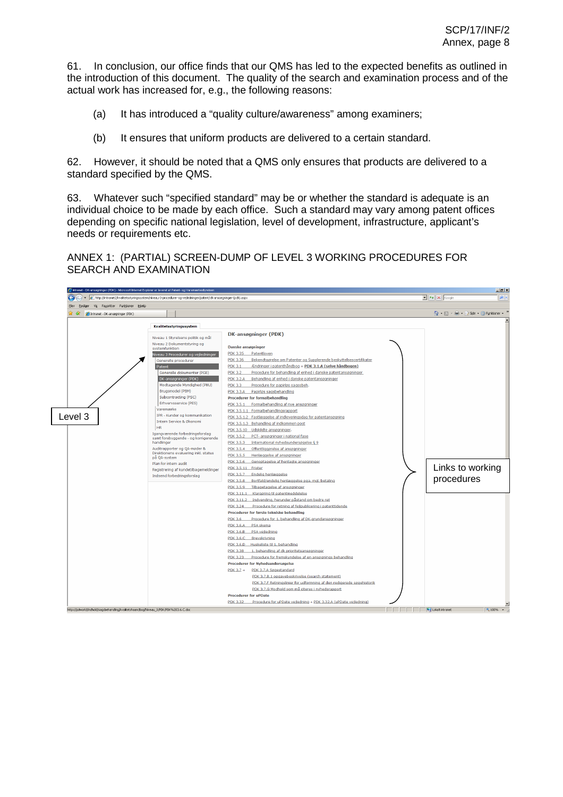61. In conclusion, our office finds that our QMS has led to the expected benefits as outlined in the introduction of this document. The quality of the search and examination process and of the actual work has increased for, e.g., the following reasons:

- (a) It has introduced a "quality culture/awareness" among examiners;
- (b) It ensures that uniform products are delivered to a certain standard.

62. However, it should be noted that a QMS only ensures that products are delivered to a standard specified by the QMS.

63. Whatever such "specified standard" may be or whether the standard is adequate is an individual choice to be made by each office. Such a standard may vary among patent offices depending on specific national legislation, level of development, infrastructure, applicant's needs or requirements etc.

ANNEX 1: (PARTIAL) SCREEN-DUMP OF LEVEL 3 WORKING PROCEDURES FOR SEARCH AND EXAMINATION

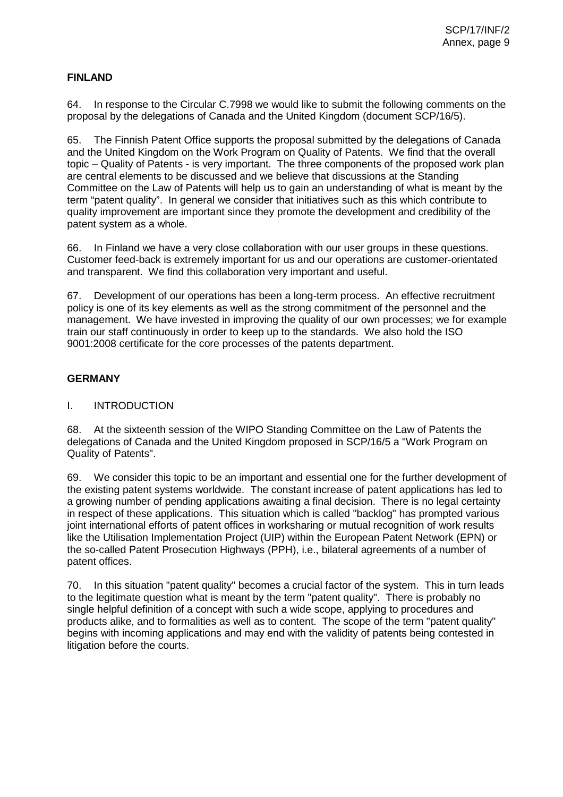# **FINLAND**

64. In response to the Circular C.7998 we would like to submit the following comments on the proposal by the delegations of Canada and the United Kingdom (document SCP/16/5).

65. The Finnish Patent Office supports the proposal submitted by the delegations of Canada and the United Kingdom on the Work Program on Quality of Patents. We find that the overall topic – Quality of Patents - is very important. The three components of the proposed work plan are central elements to be discussed and we believe that discussions at the Standing Committee on the Law of Patents will help us to gain an understanding of what is meant by the term "patent quality". In general we consider that initiatives such as this which contribute to quality improvement are important since they promote the development and credibility of the patent system as a whole.

66. In Finland we have a very close collaboration with our user groups in these questions. Customer feed-back is extremely important for us and our operations are customer-orientated and transparent. We find this collaboration very important and useful.

67. Development of our operations has been a long-term process. An effective recruitment policy is one of its key elements as well as the strong commitment of the personnel and the management. We have invested in improving the quality of our own processes; we for example train our staff continuously in order to keep up to the standards. We also hold the ISO 9001:2008 certificate for the core processes of the patents department.

## **GERMANY**

## I. INTRODUCTION

68. At the sixteenth session of the WIPO Standing Committee on the Law of Patents the delegations of Canada and the United Kingdom proposed in SCP/16/5 a "Work Program on Quality of Patents".

69. We consider this topic to be an important and essential one for the further development of the existing patent systems worldwide. The constant increase of patent applications has led to a growing number of pending applications awaiting a final decision. There is no legal certainty in respect of these applications. This situation which is called "backlog" has prompted various joint international efforts of patent offices in worksharing or mutual recognition of work results like the Utilisation Implementation Project (UIP) within the European Patent Network (EPN) or the so-called Patent Prosecution Highways (PPH), i.e., bilateral agreements of a number of patent offices.

70. In this situation "patent quality" becomes a crucial factor of the system. This in turn leads to the legitimate question what is meant by the term "patent quality". There is probably no single helpful definition of a concept with such a wide scope, applying to procedures and products alike, and to formalities as well as to content. The scope of the term "patent quality" begins with incoming applications and may end with the validity of patents being contested in litigation before the courts.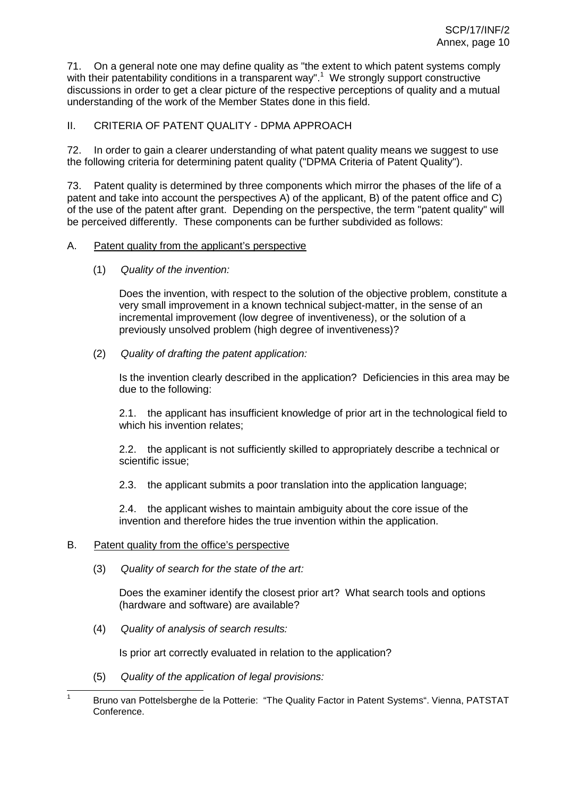71. On a general note one may define quality as "the extent to which patent systems comply with their patentability conditions in a transparent way".<sup>1</sup> We strongly support constructive discussions in order to get a clear picture of the respective perceptions of quality and a mutual understanding of the work of the Member States done in this field.

# II. CRITERIA OF PATENT QUALITY - DPMA APPROACH

72. In order to gain a clearer understanding of what patent quality means we suggest to use the following criteria for determining patent quality ("DPMA Criteria of Patent Quality").

73. Patent quality is determined by three components which mirror the phases of the life of a patent and take into account the perspectives A) of the applicant, B) of the patent office and C) of the use of the patent after grant. Depending on the perspective, the term "patent quality" will be perceived differently. These components can be further subdivided as follows:

#### A. Patent quality from the applicant's perspective

(1) Quality of the invention:

Does the invention, with respect to the solution of the objective problem, constitute a very small improvement in a known technical subject-matter, in the sense of an incremental improvement (low degree of inventiveness), or the solution of a previously unsolved problem (high degree of inventiveness)?

(2) Quality of drafting the patent application:

Is the invention clearly described in the application? Deficiencies in this area may be due to the following:

2.1. the applicant has insufficient knowledge of prior art in the technological field to which his invention relates;

2.2. the applicant is not sufficiently skilled to appropriately describe a technical or scientific issue;

2.3. the applicant submits a poor translation into the application language;

2.4. the applicant wishes to maintain ambiguity about the core issue of the invention and therefore hides the true invention within the application.

## B. Patent quality from the office's perspective

(3) Quality of search for the state of the art:

Does the examiner identify the closest prior art? What search tools and options (hardware and software) are available?

(4) Quality of analysis of search results:

Is prior art correctly evaluated in relation to the application?

(5) Quality of the application of legal provisions:

<sup>&</sup>lt;sup>1</sup> Bruno van Pottelsberghe de la Potterie: "The Quality Factor in Patent Systems". Vienna, PATSTAT Conference.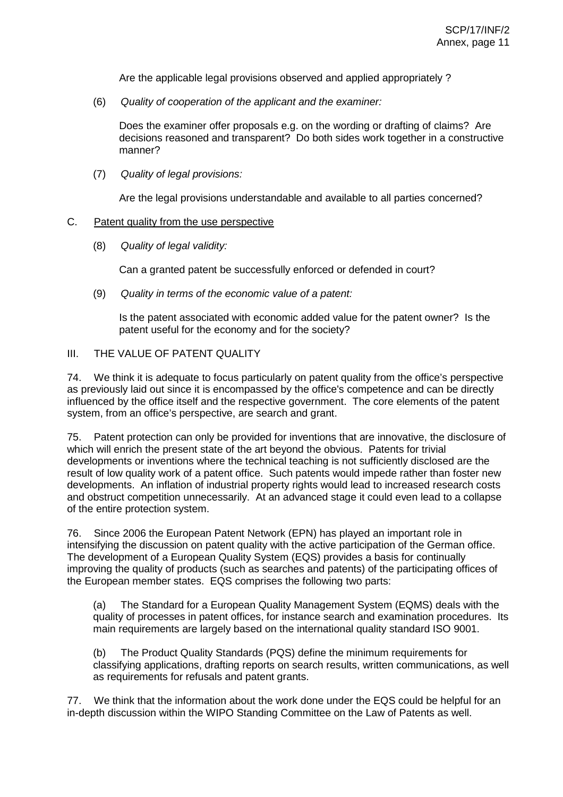Are the applicable legal provisions observed and applied appropriately ?

(6) Quality of cooperation of the applicant and the examiner:

Does the examiner offer proposals e.g. on the wording or drafting of claims? Are decisions reasoned and transparent? Do both sides work together in a constructive manner?

(7) Quality of legal provisions:

Are the legal provisions understandable and available to all parties concerned?

#### C. Patent quality from the use perspective

(8) Quality of legal validity:

Can a granted patent be successfully enforced or defended in court?

(9) Quality in terms of the economic value of a patent:

Is the patent associated with economic added value for the patent owner? Is the patent useful for the economy and for the society?

#### III. THE VALUE OF PATENT QUALITY

74. We think it is adequate to focus particularly on patent quality from the office's perspective as previously laid out since it is encompassed by the office's competence and can be directly influenced by the office itself and the respective government. The core elements of the patent system, from an office's perspective, are search and grant.

75. Patent protection can only be provided for inventions that are innovative, the disclosure of which will enrich the present state of the art beyond the obvious. Patents for trivial developments or inventions where the technical teaching is not sufficiently disclosed are the result of low quality work of a patent office. Such patents would impede rather than foster new developments. An inflation of industrial property rights would lead to increased research costs and obstruct competition unnecessarily. At an advanced stage it could even lead to a collapse of the entire protection system.

76. Since 2006 the European Patent Network (EPN) has played an important role in intensifying the discussion on patent quality with the active participation of the German office. The development of a European Quality System (EQS) provides a basis for continually improving the quality of products (such as searches and patents) of the participating offices of the European member states. EQS comprises the following two parts:

(a) The Standard for a European Quality Management System (EQMS) deals with the quality of processes in patent offices, for instance search and examination procedures. Its main requirements are largely based on the international quality standard ISO 9001.

(b) The Product Quality Standards (PQS) define the minimum requirements for classifying applications, drafting reports on search results, written communications, as well as requirements for refusals and patent grants.

77. We think that the information about the work done under the EQS could be helpful for an in-depth discussion within the WIPO Standing Committee on the Law of Patents as well.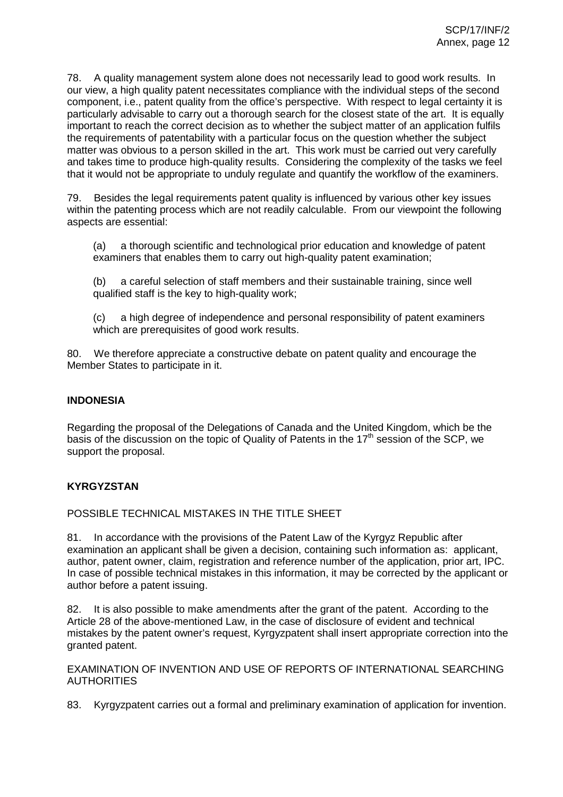78. A quality management system alone does not necessarily lead to good work results. In our view, a high quality patent necessitates compliance with the individual steps of the second component, i.e., patent quality from the office's perspective. With respect to legal certainty it is particularly advisable to carry out a thorough search for the closest state of the art. It is equally important to reach the correct decision as to whether the subject matter of an application fulfils the requirements of patentability with a particular focus on the question whether the subject matter was obvious to a person skilled in the art. This work must be carried out very carefully and takes time to produce high-quality results. Considering the complexity of the tasks we feel that it would not be appropriate to unduly regulate and quantify the workflow of the examiners.

79. Besides the legal requirements patent quality is influenced by various other key issues within the patenting process which are not readily calculable. From our viewpoint the following aspects are essential:

(a) a thorough scientific and technological prior education and knowledge of patent examiners that enables them to carry out high-quality patent examination;

(b) a careful selection of staff members and their sustainable training, since well qualified staff is the key to high-quality work;

(c) a high degree of independence and personal responsibility of patent examiners which are prerequisites of good work results.

80. We therefore appreciate a constructive debate on patent quality and encourage the Member States to participate in it.

# **INDONESIA**

Regarding the proposal of the Delegations of Canada and the United Kingdom, which be the basis of the discussion on the topic of Quality of Patents in the  $17<sup>th</sup>$  session of the SCP, we support the proposal.

## **KYRGYZSTAN**

POSSIBLE TECHNICAL MISTAKES IN THE TITLE SHEET

81. In accordance with the provisions of the Patent Law of the Kyrgyz Republic after examination an applicant shall be given a decision, containing such information as: applicant, author, patent owner, claim, registration and reference number of the application, prior art, IPC. In case of possible technical mistakes in this information, it may be corrected by the applicant or author before a patent issuing.

82. It is also possible to make amendments after the grant of the patent. According to the Article 28 of the above-mentioned Law, in the case of disclosure of evident and technical mistakes by the patent owner's request, Kyrgyzpatent shall insert appropriate correction into the granted patent.

EXAMINATION OF INVENTION AND USE OF REPORTS OF INTERNATIONAL SEARCHING **AUTHORITIES** 

83. Kyrgyzpatent carries out a formal and preliminary examination of application for invention.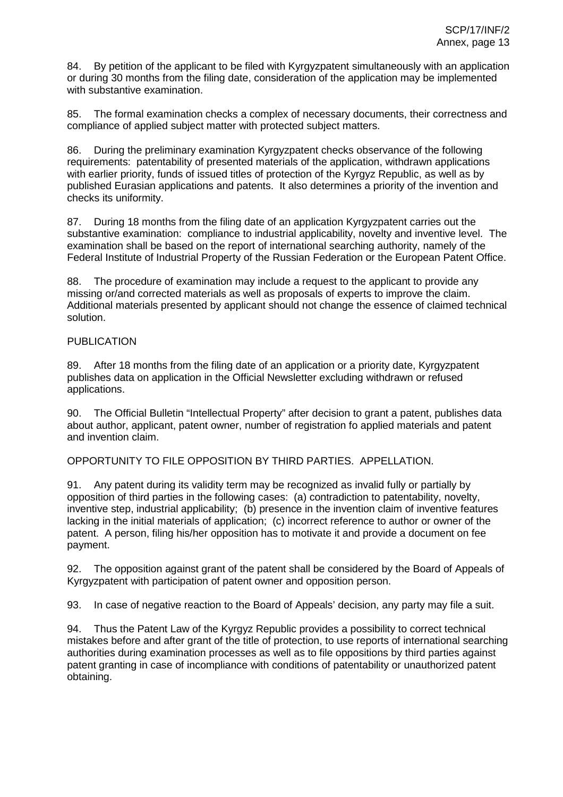84. By petition of the applicant to be filed with Kyrgyzpatent simultaneously with an application or during 30 months from the filing date, consideration of the application may be implemented with substantive examination.

85. The formal examination checks a complex of necessary documents, their correctness and compliance of applied subject matter with protected subject matters.

86. During the preliminary examination Kyrgyzpatent checks observance of the following requirements: patentability of presented materials of the application, withdrawn applications with earlier priority, funds of issued titles of protection of the Kyrgyz Republic, as well as by published Eurasian applications and patents. It also determines a priority of the invention and checks its uniformity.

87. During 18 months from the filing date of an application Kyrgyzpatent carries out the substantive examination: compliance to industrial applicability, novelty and inventive level. The examination shall be based on the report of international searching authority, namely of the Federal Institute of Industrial Property of the Russian Federation or the European Patent Office.

88. The procedure of examination may include a request to the applicant to provide any missing or/and corrected materials as well as proposals of experts to improve the claim. Additional materials presented by applicant should not change the essence of claimed technical solution.

# PUBLICATION

89. After 18 months from the filing date of an application or a priority date, Kyrgyzpatent publishes data on application in the Official Newsletter excluding withdrawn or refused applications.

90. The Official Bulletin "Intellectual Property" after decision to grant a patent, publishes data about author, applicant, patent owner, number of registration fo applied materials and patent and invention claim.

OPPORTUNITY TO FILE OPPOSITION BY THIRD PARTIES. APPELLATION.

91. Any patent during its validity term may be recognized as invalid fully or partially by opposition of third parties in the following cases: (a) contradiction to patentability, novelty, inventive step, industrial applicability; (b) presence in the invention claim of inventive features lacking in the initial materials of application; (c) incorrect reference to author or owner of the patent. A person, filing his/her opposition has to motivate it and provide a document on fee payment.

92. The opposition against grant of the patent shall be considered by the Board of Appeals of Kyrgyzpatent with participation of patent owner and opposition person.

93. In case of negative reaction to the Board of Appeals' decision, any party may file a suit.

94. Thus the Patent Law of the Kyrgyz Republic provides a possibility to correct technical mistakes before and after grant of the title of protection, to use reports of international searching authorities during examination processes as well as to file oppositions by third parties against patent granting in case of incompliance with conditions of patentability or unauthorized patent obtaining.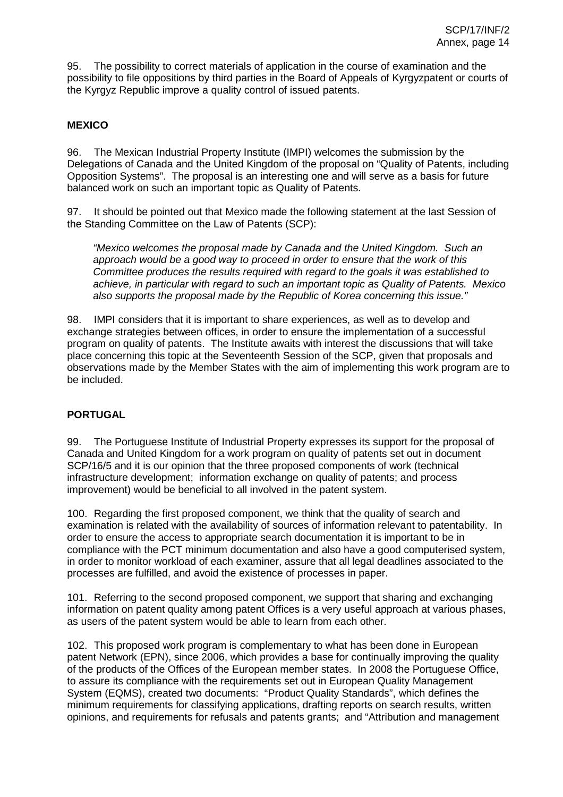95. The possibility to correct materials of application in the course of examination and the possibility to file oppositions by third parties in the Board of Appeals of Kyrgyzpatent or courts of the Kyrgyz Republic improve a quality control of issued patents.

# **MEXICO**

96. The Mexican Industrial Property Institute (IMPI) welcomes the submission by the Delegations of Canada and the United Kingdom of the proposal on "Quality of Patents, including Opposition Systems". The proposal is an interesting one and will serve as a basis for future balanced work on such an important topic as Quality of Patents.

97. It should be pointed out that Mexico made the following statement at the last Session of the Standing Committee on the Law of Patents (SCP):

"Mexico welcomes the proposal made by Canada and the United Kingdom. Such an approach would be a good way to proceed in order to ensure that the work of this Committee produces the results required with regard to the goals it was established to achieve, in particular with regard to such an important topic as Quality of Patents. Mexico also supports the proposal made by the Republic of Korea concerning this issue."

98. IMPI considers that it is important to share experiences, as well as to develop and exchange strategies between offices, in order to ensure the implementation of a successful program on quality of patents. The Institute awaits with interest the discussions that will take place concerning this topic at the Seventeenth Session of the SCP, given that proposals and observations made by the Member States with the aim of implementing this work program are to be included.

## **PORTUGAL**

99. The Portuguese Institute of Industrial Property expresses its support for the proposal of Canada and United Kingdom for a work program on quality of patents set out in document SCP/16/5 and it is our opinion that the three proposed components of work (technical infrastructure development; information exchange on quality of patents; and process improvement) would be beneficial to all involved in the patent system.

100. Regarding the first proposed component, we think that the quality of search and examination is related with the availability of sources of information relevant to patentability. In order to ensure the access to appropriate search documentation it is important to be in compliance with the PCT minimum documentation and also have a good computerised system, in order to monitor workload of each examiner, assure that all legal deadlines associated to the processes are fulfilled, and avoid the existence of processes in paper.

101. Referring to the second proposed component, we support that sharing and exchanging information on patent quality among patent Offices is a very useful approach at various phases, as users of the patent system would be able to learn from each other.

102. This proposed work program is complementary to what has been done in European patent Network (EPN), since 2006, which provides a base for continually improving the quality of the products of the Offices of the European member states. In 2008 the Portuguese Office, to assure its compliance with the requirements set out in European Quality Management System (EQMS), created two documents: "Product Quality Standards", which defines the minimum requirements for classifying applications, drafting reports on search results, written opinions, and requirements for refusals and patents grants; and "Attribution and management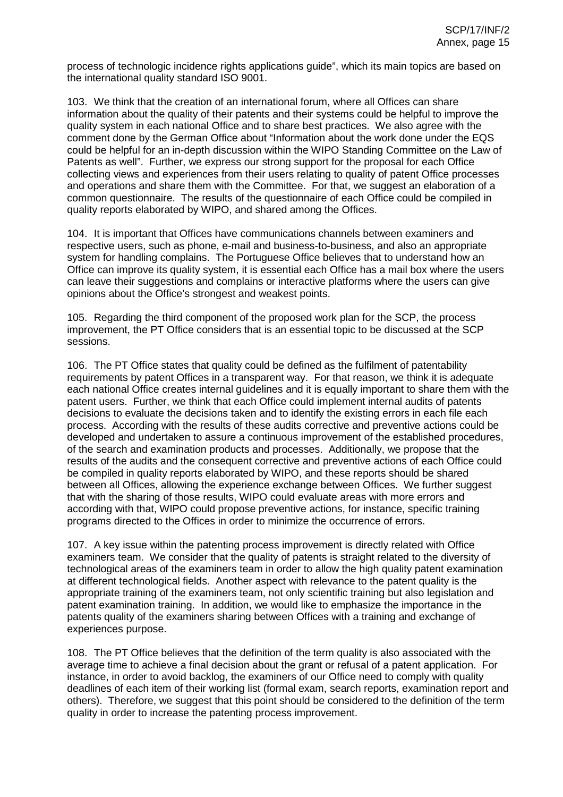process of technologic incidence rights applications guide", which its main topics are based on the international quality standard ISO 9001.

103. We think that the creation of an international forum, where all Offices can share information about the quality of their patents and their systems could be helpful to improve the quality system in each national Office and to share best practices. We also agree with the comment done by the German Office about "Information about the work done under the EQS could be helpful for an in-depth discussion within the WIPO Standing Committee on the Law of Patents as well". Further, we express our strong support for the proposal for each Office collecting views and experiences from their users relating to quality of patent Office processes and operations and share them with the Committee. For that, we suggest an elaboration of a common questionnaire. The results of the questionnaire of each Office could be compiled in quality reports elaborated by WIPO, and shared among the Offices.

104. It is important that Offices have communications channels between examiners and respective users, such as phone, e-mail and business-to-business, and also an appropriate system for handling complains. The Portuguese Office believes that to understand how an Office can improve its quality system, it is essential each Office has a mail box where the users can leave their suggestions and complains or interactive platforms where the users can give opinions about the Office's strongest and weakest points.

105. Regarding the third component of the proposed work plan for the SCP, the process improvement, the PT Office considers that is an essential topic to be discussed at the SCP sessions.

106. The PT Office states that quality could be defined as the fulfilment of patentability requirements by patent Offices in a transparent way. For that reason, we think it is adequate each national Office creates internal guidelines and it is equally important to share them with the patent users. Further, we think that each Office could implement internal audits of patents decisions to evaluate the decisions taken and to identify the existing errors in each file each process. According with the results of these audits corrective and preventive actions could be developed and undertaken to assure a continuous improvement of the established procedures, of the search and examination products and processes. Additionally, we propose that the results of the audits and the consequent corrective and preventive actions of each Office could be compiled in quality reports elaborated by WIPO, and these reports should be shared between all Offices, allowing the experience exchange between Offices. We further suggest that with the sharing of those results, WIPO could evaluate areas with more errors and according with that, WIPO could propose preventive actions, for instance, specific training programs directed to the Offices in order to minimize the occurrence of errors.

107. A key issue within the patenting process improvement is directly related with Office examiners team. We consider that the quality of patents is straight related to the diversity of technological areas of the examiners team in order to allow the high quality patent examination at different technological fields. Another aspect with relevance to the patent quality is the appropriate training of the examiners team, not only scientific training but also legislation and patent examination training. In addition, we would like to emphasize the importance in the patents quality of the examiners sharing between Offices with a training and exchange of experiences purpose.

108. The PT Office believes that the definition of the term quality is also associated with the average time to achieve a final decision about the grant or refusal of a patent application. For instance, in order to avoid backlog, the examiners of our Office need to comply with quality deadlines of each item of their working list (formal exam, search reports, examination report and others). Therefore, we suggest that this point should be considered to the definition of the term quality in order to increase the patenting process improvement.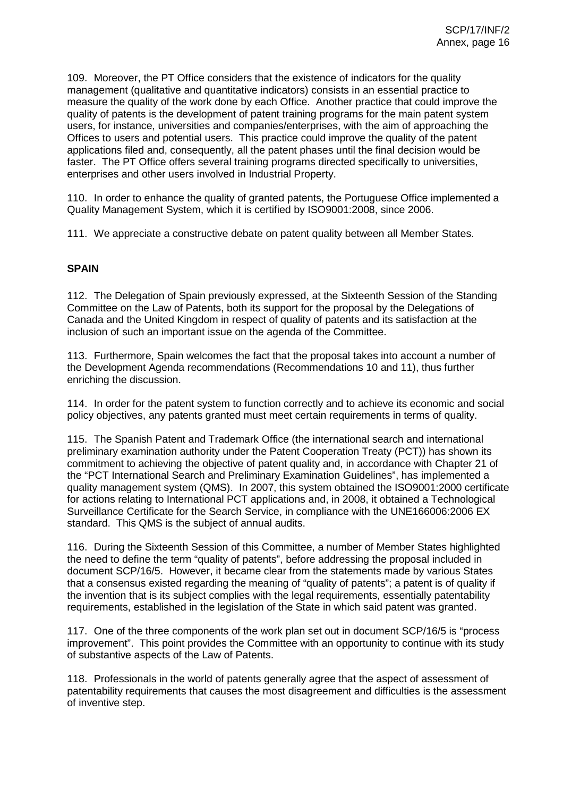109. Moreover, the PT Office considers that the existence of indicators for the quality management (qualitative and quantitative indicators) consists in an essential practice to measure the quality of the work done by each Office. Another practice that could improve the quality of patents is the development of patent training programs for the main patent system users, for instance, universities and companies/enterprises, with the aim of approaching the Offices to users and potential users. This practice could improve the quality of the patent applications filed and, consequently, all the patent phases until the final decision would be faster. The PT Office offers several training programs directed specifically to universities, enterprises and other users involved in Industrial Property.

110. In order to enhance the quality of granted patents, the Portuguese Office implemented a Quality Management System, which it is certified by ISO9001:2008, since 2006.

111. We appreciate a constructive debate on patent quality between all Member States.

# **SPAIN**

112. The Delegation of Spain previously expressed, at the Sixteenth Session of the Standing Committee on the Law of Patents, both its support for the proposal by the Delegations of Canada and the United Kingdom in respect of quality of patents and its satisfaction at the inclusion of such an important issue on the agenda of the Committee.

113. Furthermore, Spain welcomes the fact that the proposal takes into account a number of the Development Agenda recommendations (Recommendations 10 and 11), thus further enriching the discussion.

114. In order for the patent system to function correctly and to achieve its economic and social policy objectives, any patents granted must meet certain requirements in terms of quality.

115. The Spanish Patent and Trademark Office (the international search and international preliminary examination authority under the Patent Cooperation Treaty (PCT)) has shown its commitment to achieving the objective of patent quality and, in accordance with Chapter 21 of the "PCT International Search and Preliminary Examination Guidelines", has implemented a quality management system (QMS). In 2007, this system obtained the ISO9001:2000 certificate for actions relating to International PCT applications and, in 2008, it obtained a Technological Surveillance Certificate for the Search Service, in compliance with the UNE166006:2006 EX standard. This QMS is the subject of annual audits.

116. During the Sixteenth Session of this Committee, a number of Member States highlighted the need to define the term "quality of patents", before addressing the proposal included in document SCP/16/5. However, it became clear from the statements made by various States that a consensus existed regarding the meaning of "quality of patents"; a patent is of quality if the invention that is its subject complies with the legal requirements, essentially patentability requirements, established in the legislation of the State in which said patent was granted.

117. One of the three components of the work plan set out in document SCP/16/5 is "process improvement". This point provides the Committee with an opportunity to continue with its study of substantive aspects of the Law of Patents.

118. Professionals in the world of patents generally agree that the aspect of assessment of patentability requirements that causes the most disagreement and difficulties is the assessment of inventive step.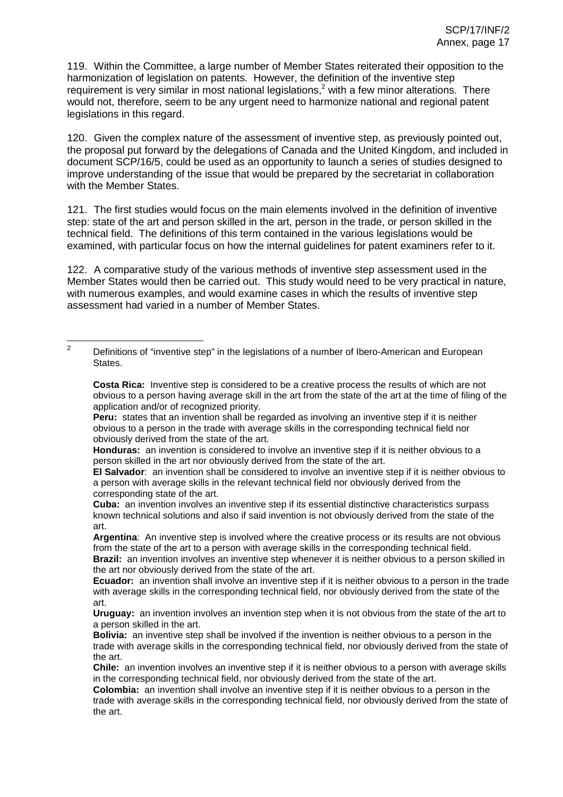119. Within the Committee, a large number of Member States reiterated their opposition to the harmonization of legislation on patents. However, the definition of the inventive step requirement is very similar in most national legislations,<sup>2</sup> with a few minor alterations. There would not, therefore, seem to be any urgent need to harmonize national and regional patent legislations in this regard.

120. Given the complex nature of the assessment of inventive step, as previously pointed out, the proposal put forward by the delegations of Canada and the United Kingdom, and included in document SCP/16/5, could be used as an opportunity to launch a series of studies designed to improve understanding of the issue that would be prepared by the secretariat in collaboration with the Member States.

121. The first studies would focus on the main elements involved in the definition of inventive step: state of the art and person skilled in the art, person in the trade, or person skilled in the technical field. The definitions of this term contained in the various legislations would be examined, with particular focus on how the internal guidelines for patent examiners refer to it.

122. A comparative study of the various methods of inventive step assessment used in the Member States would then be carried out. This study would need to be very practical in nature, with numerous examples, and would examine cases in which the results of inventive step assessment had varied in a number of Member States.

**Peru:** states that an invention shall be regarded as involving an inventive step if it is neither obvious to a person in the trade with average skills in the corresponding technical field nor obviously derived from the state of the art.

**Honduras:** an invention is considered to involve an inventive step if it is neither obvious to a person skilled in the art nor obviously derived from the state of the art.

**Argentina**: An inventive step is involved where the creative process or its results are not obvious from the state of the art to a person with average skills in the corresponding technical field. **Brazil:** an invention involves an inventive step whenever it is neither obvious to a person skilled in the art nor obviously derived from the state of the art.

<sup>&</sup>lt;sup>2</sup> Definitions of "inventive step" in the legislations of a number of Ibero-American and European States.

**Costa Rica:** Inventive step is considered to be a creative process the results of which are not obvious to a person having average skill in the art from the state of the art at the time of filing of the application and/or of recognized priority.

**El Salvador**: an invention shall be considered to involve an inventive step if it is neither obvious to a person with average skills in the relevant technical field nor obviously derived from the corresponding state of the art.

**Cuba:** an invention involves an inventive step if its essential distinctive characteristics surpass known technical solutions and also if said invention is not obviously derived from the state of the art.

**Ecuador:** an invention shall involve an inventive step if it is neither obvious to a person in the trade with average skills in the corresponding technical field, nor obviously derived from the state of the art.

**Uruguay:** an invention involves an invention step when it is not obvious from the state of the art to a person skilled in the art.

**Bolivia:** an inventive step shall be involved if the invention is neither obvious to a person in the trade with average skills in the corresponding technical field, nor obviously derived from the state of the art.

**Chile:** an invention involves an inventive step if it is neither obvious to a person with average skills in the corresponding technical field, nor obviously derived from the state of the art.

**Colombia:** an invention shall involve an inventive step if it is neither obvious to a person in the trade with average skills in the corresponding technical field, nor obviously derived from the state of the art.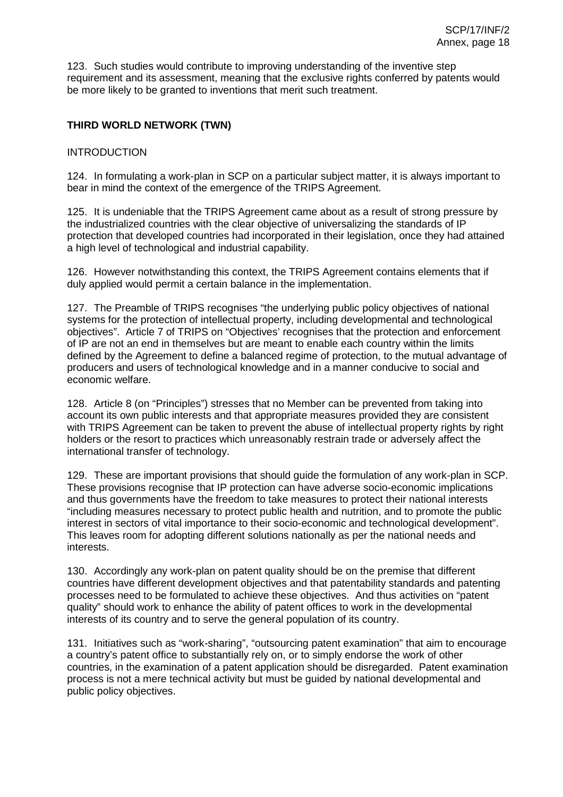123. Such studies would contribute to improving understanding of the inventive step requirement and its assessment, meaning that the exclusive rights conferred by patents would be more likely to be granted to inventions that merit such treatment.

# **THIRD WORLD NETWORK (TWN)**

#### INTRODUCTION

124. In formulating a work-plan in SCP on a particular subject matter, it is always important to bear in mind the context of the emergence of the TRIPS Agreement.

125. It is undeniable that the TRIPS Agreement came about as a result of strong pressure by the industrialized countries with the clear objective of universalizing the standards of IP protection that developed countries had incorporated in their legislation, once they had attained a high level of technological and industrial capability.

126. However notwithstanding this context, the TRIPS Agreement contains elements that if duly applied would permit a certain balance in the implementation.

127. The Preamble of TRIPS recognises "the underlying public policy objectives of national systems for the protection of intellectual property, including developmental and technological objectives". Article 7 of TRIPS on "Objectives' recognises that the protection and enforcement of IP are not an end in themselves but are meant to enable each country within the limits defined by the Agreement to define a balanced regime of protection, to the mutual advantage of producers and users of technological knowledge and in a manner conducive to social and economic welfare.

128. Article 8 (on "Principles") stresses that no Member can be prevented from taking into account its own public interests and that appropriate measures provided they are consistent with TRIPS Agreement can be taken to prevent the abuse of intellectual property rights by right holders or the resort to practices which unreasonably restrain trade or adversely affect the international transfer of technology.

129. These are important provisions that should guide the formulation of any work-plan in SCP. These provisions recognise that IP protection can have adverse socio-economic implications and thus governments have the freedom to take measures to protect their national interests "including measures necessary to protect public health and nutrition, and to promote the public interest in sectors of vital importance to their socio-economic and technological development". This leaves room for adopting different solutions nationally as per the national needs and interests.

130. Accordingly any work-plan on patent quality should be on the premise that different countries have different development objectives and that patentability standards and patenting processes need to be formulated to achieve these objectives. And thus activities on "patent quality" should work to enhance the ability of patent offices to work in the developmental interests of its country and to serve the general population of its country.

131. Initiatives such as "work-sharing", "outsourcing patent examination" that aim to encourage a country's patent office to substantially rely on, or to simply endorse the work of other countries, in the examination of a patent application should be disregarded. Patent examination process is not a mere technical activity but must be guided by national developmental and public policy objectives.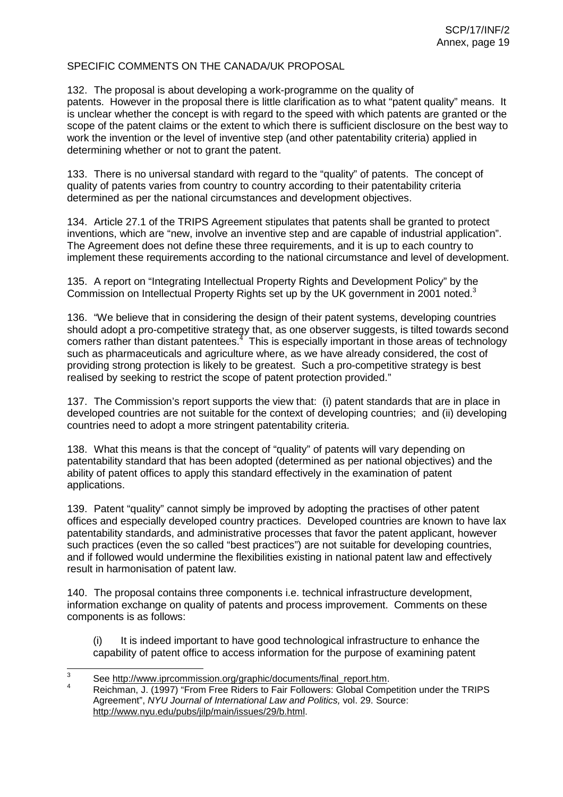#### SPECIFIC COMMENTS ON THE CANADA/UK PROPOSAL

132. The proposal is about developing a work-programme on the quality of patents. However in the proposal there is little clarification as to what "patent quality" means. It is unclear whether the concept is with regard to the speed with which patents are granted or the scope of the patent claims or the extent to which there is sufficient disclosure on the best way to work the invention or the level of inventive step (and other patentability criteria) applied in determining whether or not to grant the patent.

133. There is no universal standard with regard to the "quality" of patents. The concept of quality of patents varies from country to country according to their patentability criteria determined as per the national circumstances and development objectives.

134. Article 27.1 of the TRIPS Agreement stipulates that patents shall be granted to protect inventions, which are "new, involve an inventive step and are capable of industrial application". The Agreement does not define these three requirements, and it is up to each country to implement these requirements according to the national circumstance and level of development.

135. A report on "Integrating Intellectual Property Rights and Development Policy" by the Commission on Intellectual Property Rights set up by the UK government in 2001 noted.<sup>3</sup>

136. "We believe that in considering the design of their patent systems, developing countries should adopt a pro-competitive strategy that, as one observer suggests, is tilted towards second comers rather than distant patentees.<sup>4</sup> This is especially important in those areas of technology such as pharmaceuticals and agriculture where, as we have already considered, the cost of providing strong protection is likely to be greatest. Such a pro-competitive strategy is best realised by seeking to restrict the scope of patent protection provided."

137. The Commission's report supports the view that: (i) patent standards that are in place in developed countries are not suitable for the context of developing countries; and (ii) developing countries need to adopt a more stringent patentability criteria.

138. What this means is that the concept of "quality" of patents will vary depending on patentability standard that has been adopted (determined as per national objectives) and the ability of patent offices to apply this standard effectively in the examination of patent applications.

139. Patent "quality" cannot simply be improved by adopting the practises of other patent offices and especially developed country practices. Developed countries are known to have lax patentability standards, and administrative processes that favor the patent applicant, however such practices (even the so called "best practices") are not suitable for developing countries, and if followed would undermine the flexibilities existing in national patent law and effectively result in harmonisation of patent law.

140. The proposal contains three components i.e. technical infrastructure development, information exchange on quality of patents and process improvement. Comments on these components is as follows:

(i) It is indeed important to have good technological infrastructure to enhance the capability of patent office to access information for the purpose of examining patent

<sup>&</sup>lt;sup>3</sup> See http://www.iprcommission.org/graphic/documents/final\_report.htm.<br><sup>4</sup> Reichman, J. (1997) "From Free Riders to Fair Followers: Global Competition under the TRIPS Agreement", NYU Journal of International Law and Politics, vol. 29. Source: http://www.nyu.edu/pubs/jilp/main/issues/29/b.html.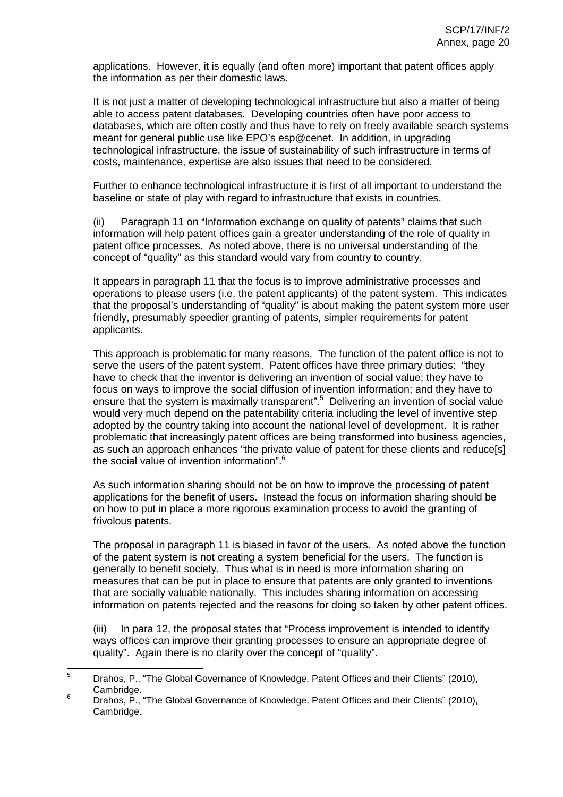applications. However, it is equally (and often more) important that patent offices apply the information as per their domestic laws.

It is not just a matter of developing technological infrastructure but also a matter of being able to access patent databases. Developing countries often have poor access to databases, which are often costly and thus have to rely on freely available search systems meant for general public use like EPO's esp@cenet. In addition, in upgrading technological infrastructure, the issue of sustainability of such infrastructure in terms of costs, maintenance, expertise are also issues that need to be considered.

Further to enhance technological infrastructure it is first of all important to understand the baseline or state of play with regard to infrastructure that exists in countries.

(ii) Paragraph 11 on "Information exchange on quality of patents" claims that such information will help patent offices gain a greater understanding of the role of quality in patent office processes. As noted above, there is no universal understanding of the concept of "quality" as this standard would vary from country to country.

It appears in paragraph 11 that the focus is to improve administrative processes and operations to please users (i.e. the patent applicants) of the patent system. This indicates that the proposal's understanding of "quality" is about making the patent system more user friendly, presumably speedier granting of patents, simpler requirements for patent applicants.

This approach is problematic for many reasons. The function of the patent office is not to serve the users of the patent system. Patent offices have three primary duties: "they have to check that the inventor is delivering an invention of social value; they have to focus on ways to improve the social diffusion of invention information; and they have to ensure that the system is maximally transparent".<sup>5</sup> Delivering an invention of social value would very much depend on the patentability criteria including the level of inventive step adopted by the country taking into account the national level of development. It is rather problematic that increasingly patent offices are being transformed into business agencies, as such an approach enhances "the private value of patent for these clients and reduce[s] the social value of invention information". 6

As such information sharing should not be on how to improve the processing of patent applications for the benefit of users. Instead the focus on information sharing should be on how to put in place a more rigorous examination process to avoid the granting of frivolous patents.

The proposal in paragraph 11 is biased in favor of the users. As noted above the function of the patent system is not creating a system beneficial for the users. The function is generally to benefit society. Thus what is in need is more information sharing on measures that can be put in place to ensure that patents are only granted to inventions that are socially valuable nationally. This includes sharing information on accessing information on patents rejected and the reasons for doing so taken by other patent offices.

(iii) In para 12, the proposal states that "Process improvement is intended to identify ways offices can improve their granting processes to ensure an appropriate degree of quality". Again there is no clarity over the concept of "quality".

<sup>&</sup>lt;sup>5</sup> Drahos, P., "The Global Governance of Knowledge, Patent Offices and their Clients" (2010), Cambridge. <sup>6</sup> Drahos, P., "The Global Governance of Knowledge, Patent Offices and their Clients" (2010),

Cambridge.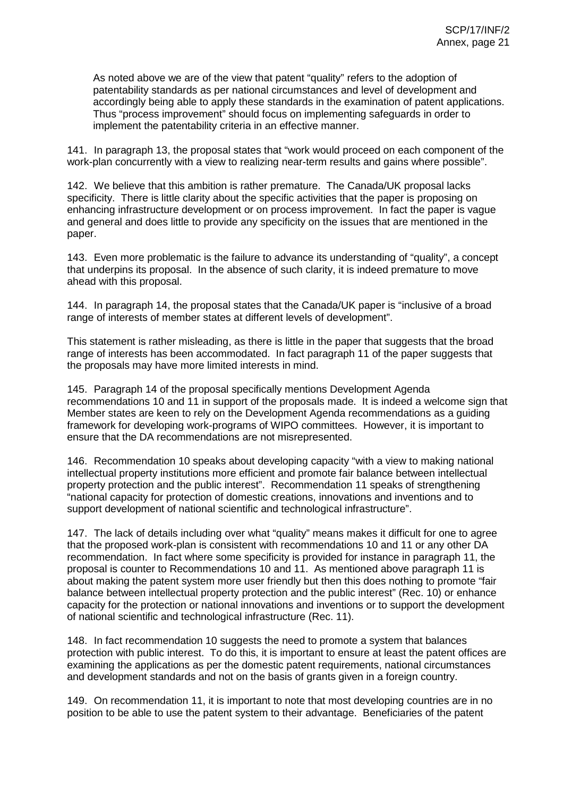As noted above we are of the view that patent "quality" refers to the adoption of patentability standards as per national circumstances and level of development and accordingly being able to apply these standards in the examination of patent applications. Thus "process improvement" should focus on implementing safeguards in order to implement the patentability criteria in an effective manner.

141. In paragraph 13, the proposal states that "work would proceed on each component of the work-plan concurrently with a view to realizing near-term results and gains where possible".

142. We believe that this ambition is rather premature. The Canada/UK proposal lacks specificity. There is little clarity about the specific activities that the paper is proposing on enhancing infrastructure development or on process improvement. In fact the paper is vague and general and does little to provide any specificity on the issues that are mentioned in the paper.

143. Even more problematic is the failure to advance its understanding of "quality", a concept that underpins its proposal. In the absence of such clarity, it is indeed premature to move ahead with this proposal.

144. In paragraph 14, the proposal states that the Canada/UK paper is "inclusive of a broad range of interests of member states at different levels of development".

This statement is rather misleading, as there is little in the paper that suggests that the broad range of interests has been accommodated. In fact paragraph 11 of the paper suggests that the proposals may have more limited interests in mind.

145. Paragraph 14 of the proposal specifically mentions Development Agenda recommendations 10 and 11 in support of the proposals made. It is indeed a welcome sign that Member states are keen to rely on the Development Agenda recommendations as a guiding framework for developing work-programs of WIPO committees. However, it is important to ensure that the DA recommendations are not misrepresented.

146. Recommendation 10 speaks about developing capacity "with a view to making national intellectual property institutions more efficient and promote fair balance between intellectual property protection and the public interest". Recommendation 11 speaks of strengthening "national capacity for protection of domestic creations, innovations and inventions and to support development of national scientific and technological infrastructure".

147. The lack of details including over what "quality" means makes it difficult for one to agree that the proposed work-plan is consistent with recommendations 10 and 11 or any other DA recommendation. In fact where some specificity is provided for instance in paragraph 11, the proposal is counter to Recommendations 10 and 11. As mentioned above paragraph 11 is about making the patent system more user friendly but then this does nothing to promote "fair balance between intellectual property protection and the public interest" (Rec. 10) or enhance capacity for the protection or national innovations and inventions or to support the development of national scientific and technological infrastructure (Rec. 11).

148. In fact recommendation 10 suggests the need to promote a system that balances protection with public interest. To do this, it is important to ensure at least the patent offices are examining the applications as per the domestic patent requirements, national circumstances and development standards and not on the basis of grants given in a foreign country.

149. On recommendation 11, it is important to note that most developing countries are in no position to be able to use the patent system to their advantage. Beneficiaries of the patent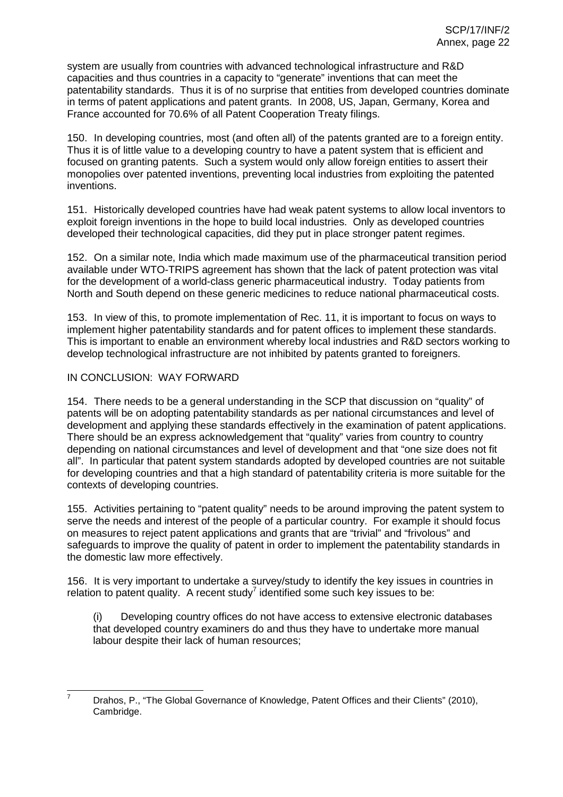system are usually from countries with advanced technological infrastructure and R&D capacities and thus countries in a capacity to "generate" inventions that can meet the patentability standards. Thus it is of no surprise that entities from developed countries dominate in terms of patent applications and patent grants. In 2008, US, Japan, Germany, Korea and France accounted for 70.6% of all Patent Cooperation Treaty filings.

150. In developing countries, most (and often all) of the patents granted are to a foreign entity. Thus it is of little value to a developing country to have a patent system that is efficient and focused on granting patents. Such a system would only allow foreign entities to assert their monopolies over patented inventions, preventing local industries from exploiting the patented inventions.

151. Historically developed countries have had weak patent systems to allow local inventors to exploit foreign inventions in the hope to build local industries. Only as developed countries developed their technological capacities, did they put in place stronger patent regimes.

152. On a similar note, India which made maximum use of the pharmaceutical transition period available under WTO-TRIPS agreement has shown that the lack of patent protection was vital for the development of a world-class generic pharmaceutical industry. Today patients from North and South depend on these generic medicines to reduce national pharmaceutical costs.

153. In view of this, to promote implementation of Rec. 11, it is important to focus on ways to implement higher patentability standards and for patent offices to implement these standards. This is important to enable an environment whereby local industries and R&D sectors working to develop technological infrastructure are not inhibited by patents granted to foreigners.

#### IN CONCLUSION: WAY FORWARD

154. There needs to be a general understanding in the SCP that discussion on "quality" of patents will be on adopting patentability standards as per national circumstances and level of development and applying these standards effectively in the examination of patent applications. There should be an express acknowledgement that "quality" varies from country to country depending on national circumstances and level of development and that "one size does not fit all". In particular that patent system standards adopted by developed countries are not suitable for developing countries and that a high standard of patentability criteria is more suitable for the contexts of developing countries.

155. Activities pertaining to "patent quality" needs to be around improving the patent system to serve the needs and interest of the people of a particular country. For example it should focus on measures to reject patent applications and grants that are "trivial" and "frivolous" and safeguards to improve the quality of patent in order to implement the patentability standards in the domestic law more effectively.

156. It is very important to undertake a survey/study to identify the key issues in countries in relation to patent quality. A recent study<sup>7</sup> identified some such key issues to be:

(i) Developing country offices do not have access to extensive electronic databases that developed country examiners do and thus they have to undertake more manual labour despite their lack of human resources;

Drahos, P., "The Global Governance of Knowledge, Patent Offices and their Clients" (2010), Cambridge.